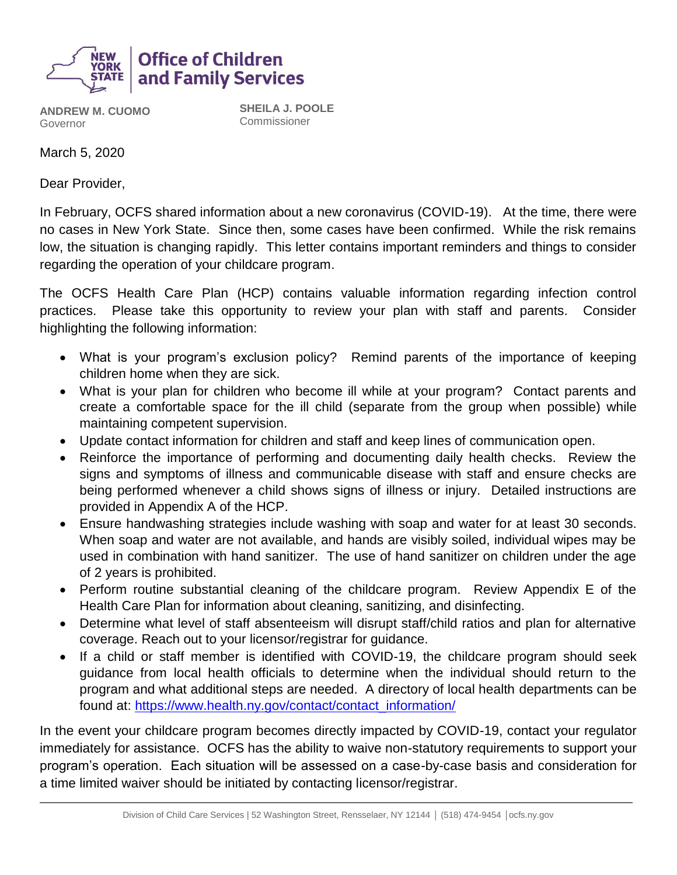

**ANDREW M. CUOMO** Governor

**SHEILA J. POOLE** Commissioner

March 5, 2020

Dear Provider,

In February, OCFS shared information about a new coronavirus (COVID-19). At the time, there were no cases in New York State. Since then, some cases have been confirmed. While the risk remains low, the situation is changing rapidly. This letter contains important reminders and things to consider regarding the operation of your childcare program.

The OCFS Health Care Plan (HCP) contains valuable information regarding infection control practices. Please take this opportunity to review your plan with staff and parents. Consider highlighting the following information:

- What is your program's exclusion policy? Remind parents of the importance of keeping children home when they are sick.
- What is your plan for children who become ill while at your program? Contact parents and create a comfortable space for the ill child (separate from the group when possible) while maintaining competent supervision.
- Update contact information for children and staff and keep lines of communication open.
- Reinforce the importance of performing and documenting daily health checks. Review the signs and symptoms of illness and communicable disease with staff and ensure checks are being performed whenever a child shows signs of illness or injury. Detailed instructions are provided in Appendix A of the HCP.
- Ensure handwashing strategies include washing with soap and water for at least 30 seconds. When soap and water are not available, and hands are visibly soiled, individual wipes may be used in combination with hand sanitizer. The use of hand sanitizer on children under the age of 2 years is prohibited.
- Perform routine substantial cleaning of the childcare program. Review Appendix E of the Health Care Plan for information about cleaning, sanitizing, and disinfecting.
- Determine what level of staff absenteeism will disrupt staff/child ratios and plan for alternative coverage. Reach out to your licensor/registrar for guidance.
- If a child or staff member is identified with COVID-19, the childcare program should seek guidance from local health officials to determine when the individual should return to the program and what additional steps are needed. A directory of local health departments can be found at: [https://www.health.ny.gov/contact/contact\\_information/](https://www.health.ny.gov/contact/contact_information/)

In the event your childcare program becomes directly impacted by COVID-19, contact your regulator immediately for assistance. OCFS has the ability to waive non-statutory requirements to support your program's operation. Each situation will be assessed on a case-by-case basis and consideration for a time limited waiver should be initiated by contacting licensor/registrar.